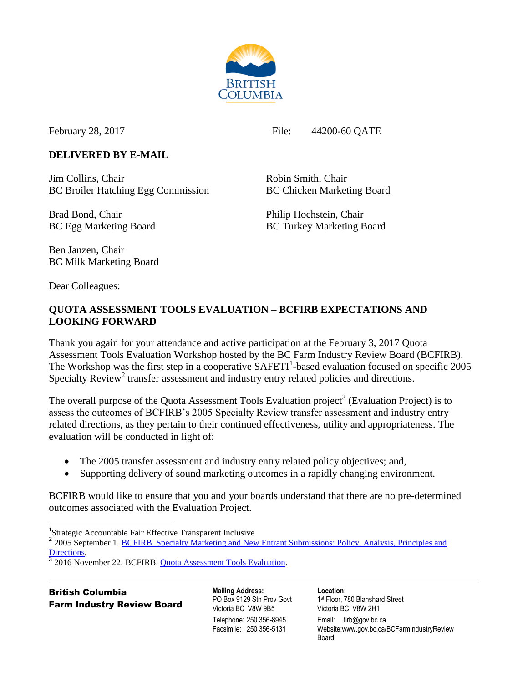

February 28, 2017 File: 44200-60 QATE

# **DELIVERED BY E-MAIL**

Jim Collins, Chair **Robin Smith, Chair** Robin Smith, Chair BC Broiler Hatching Egg Commission BC Chicken Marketing Board

Brad Bond, Chair Philip Hochstein, Chair

BC Egg Marketing Board BC Turkey Marketing Board

Ben Janzen, Chair BC Milk Marketing Board

Dear Colleagues:

# **QUOTA ASSESSMENT TOOLS EVALUATION – BCFIRB EXPECTATIONS AND LOOKING FORWARD**

Thank you again for your attendance and active participation at the February 3, 2017 Quota Assessment Tools Evaluation Workshop hosted by the BC Farm Industry Review Board (BCFIRB). The Workshop was the first step in a cooperative  $SAFETI<sup>1</sup>$ -based evaluation focused on specific 2005 Specialty Review<sup>2</sup> transfer assessment and industry entry related policies and directions.

The overall purpose of the Quota Assessment Tools Evaluation project<sup>3</sup> (Evaluation Project) is to assess the outcomes of BCFIRB's 2005 Specialty Review transfer assessment and industry entry related directions, as they pertain to their continued effectiveness, utility and appropriateness. The evaluation will be conducted in light of:

- The 2005 transfer assessment and industry entry related policy objectives; and,
- Supporting delivery of sound marketing outcomes in a rapidly changing environment.

BCFIRB would like to ensure that you and your boards understand that there are no pre-determined outcomes associated with the Evaluation Project.

 $\overline{a}$ <sup>1</sup>Strategic Accountable Fair Effective Transparent Inclusive

<sup>2</sup> 2005 September 1. BCFIRB. Specialty Marketing and New Entrant Submissions: Policy, Analysis, Principles and [Directions.](http://www2.gov.bc.ca/assets/gov/british-columbians-our-governments/organizational-structure/boards-commissions-tribunals/bc-farm-industry-review-board/regulated-marketing/supervisory-reviews/supervisory-review-decisions/speciality-review-2005/sept1_05_directions.pdf) 

3 2016 November 22. BCFIRB. Quota [Assessment Tools Evaluation.](http://www2.gov.bc.ca/assets/gov/british-columbians-our-governments/organizational-structure/boards-commissions-tribunals/bc-farm-industry-review-board/correspondence/2016_nov_22_bcfirb_quota_assessment_tools_evaluation_announcement.pdf)

British Columbia Farm Industry Review Board **Mailing Address:** PO Box 9129 Stn Prov Govt Victoria BC V8W 9B5 Telephone: 250 356-8945 Facsimile: 250 356-5131

**Location:**

1 st Floor, 780 Blanshard Street Victoria BC V8W 2H1 Email: firb@gov.bc.ca Website:www.gov.bc.ca/BCFarmIndustryReview Board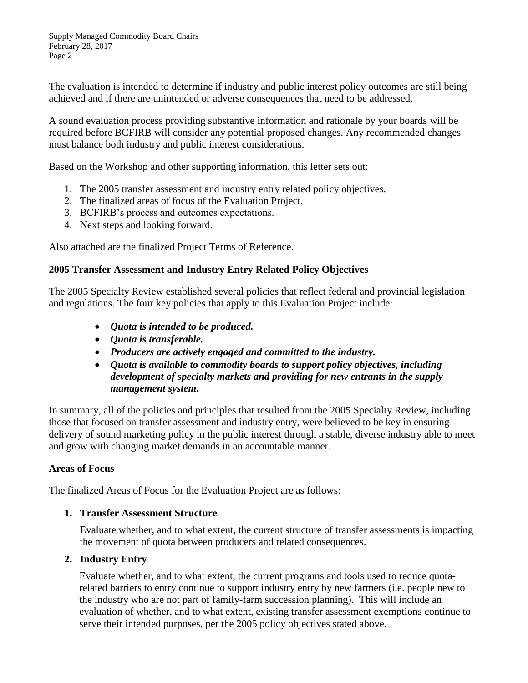The evaluation is intended to determine if industry and public interest policy outcomes are still being achieved and if there are unintended or adverse consequences that need to be addressed.

A sound evaluation process providing substantive information and rationale by your boards will be required before BCFIRB will consider any potential proposed changes. Any recommended changes must balance both industry and public interest considerations.

Based on the Workshop and other supporting information, this letter sets out:

- 1. The 2005 transfer assessment and industry entry related policy objectives.
- 2. The finalized areas of focus of the Evaluation Project.
- 3. BCFIRB's process and outcomes expectations.
- 4. Next steps and looking forward.

Also attached are the finalized Project Terms of Reference.

### **2005 Transfer Assessment and Industry Entry Related Policy Objectives**

The 2005 Specialty Review established several policies that reflect federal and provincial legislation and regulations. The four key policies that apply to this Evaluation Project include:

- *Quota is intended to be produced.*
- *Quota is transferable.*
- *Producers are actively engaged and committed to the industry.*
- *Quota is available to commodity boards to support policy objectives, including development of specialty markets and providing for new entrants in the supply management system.*

In summary, all of the policies and principles that resulted from the 2005 Specialty Review, including those that focused on transfer assessment and industry entry, were believed to be key in ensuring delivery of sound marketing policy in the public interest through a stable, diverse industry able to meet and grow with changing market demands in an accountable manner.

## **Areas of Focus**

The finalized Areas of Focus for the Evaluation Project are as follows:

#### **1. Transfer Assessment Structure**

Evaluate whether, and to what extent, the current structure of transfer assessments is impacting the movement of quota between producers and related consequences.

## **2. Industry Entry**

Evaluate whether, and to what extent, the current programs and tools used to reduce quotarelated barriers to entry continue to support industry entry by new farmers (i.e. people new to the industry who are not part of family-farm succession planning). This will include an evaluation of whether, and to what extent, existing transfer assessment exemptions continue to serve their intended purposes, per the 2005 policy objectives stated above.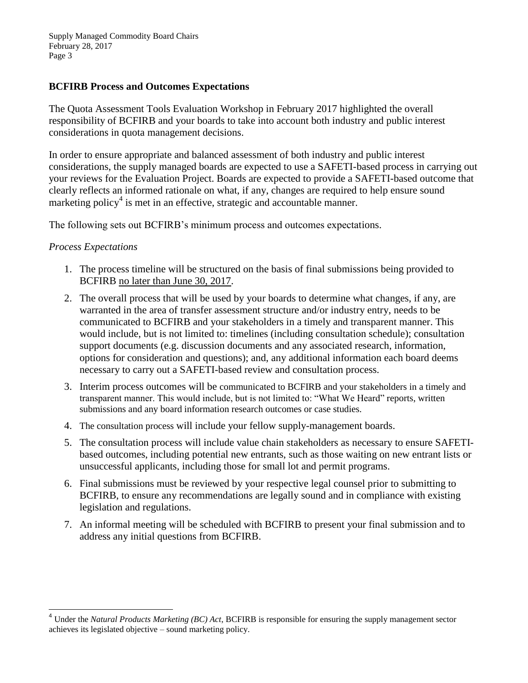Supply Managed Commodity Board Chairs February 28, 2017 Page 3

### **BCFIRB Process and Outcomes Expectations**

The Quota Assessment Tools Evaluation Workshop in February 2017 highlighted the overall responsibility of BCFIRB and your boards to take into account both industry and public interest considerations in quota management decisions.

In order to ensure appropriate and balanced assessment of both industry and public interest considerations, the supply managed boards are expected to use a SAFETI-based process in carrying out your reviews for the Evaluation Project. Boards are expected to provide a SAFETI-based outcome that clearly reflects an informed rationale on what, if any, changes are required to help ensure sound marketing policy<sup>4</sup> is met in an effective, strategic and accountable manner.

The following sets out BCFIRB's minimum process and outcomes expectations.

#### *Process Expectations*

 $\overline{\phantom{a}}$ 

- 1. The process timeline will be structured on the basis of final submissions being provided to BCFIRB no later than June 30, 2017.
- 2. The overall process that will be used by your boards to determine what changes, if any, are warranted in the area of transfer assessment structure and/or industry entry, needs to be communicated to BCFIRB and your stakeholders in a timely and transparent manner. This would include, but is not limited to: timelines (including consultation schedule); consultation support documents (e.g. discussion documents and any associated research, information, options for consideration and questions); and, any additional information each board deems necessary to carry out a SAFETI-based review and consultation process.
- 3. Interim process outcomes will be communicated to BCFIRB and your stakeholders in a timely and transparent manner. This would include, but is not limited to: "What We Heard" reports, written submissions and any board information research outcomes or case studies.
- 4. The consultation process will include your fellow supply-management boards.
- 5. The consultation process will include value chain stakeholders as necessary to ensure SAFETIbased outcomes, including potential new entrants, such as those waiting on new entrant lists or unsuccessful applicants, including those for small lot and permit programs.
- 6. Final submissions must be reviewed by your respective legal counsel prior to submitting to BCFIRB, to ensure any recommendations are legally sound and in compliance with existing legislation and regulations.
- 7. An informal meeting will be scheduled with BCFIRB to present your final submission and to address any initial questions from BCFIRB.

<sup>4</sup> Under the *Natural Products Marketing (BC) Act*, BCFIRB is responsible for ensuring the supply management sector achieves its legislated objective – sound marketing policy.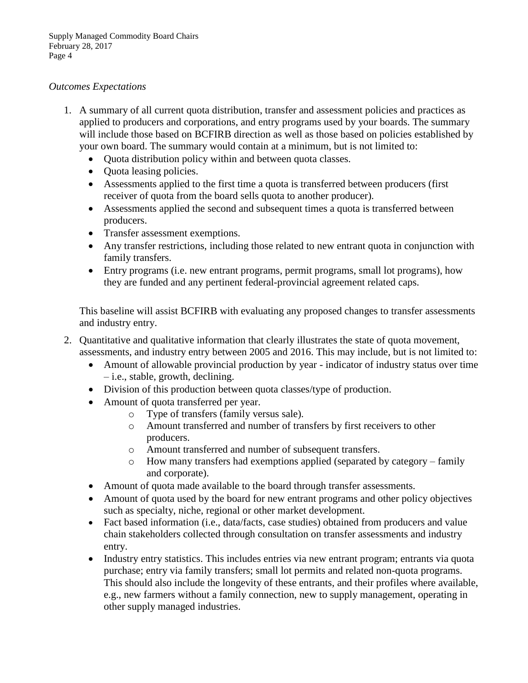#### *Outcomes Expectations*

- 1. A summary of all current quota distribution, transfer and assessment policies and practices as applied to producers and corporations, and entry programs used by your boards. The summary will include those based on BCFIRB direction as well as those based on policies established by your own board. The summary would contain at a minimum, but is not limited to:
	- Quota distribution policy within and between quota classes.
	- Ouota leasing policies.
	- Assessments applied to the first time a quota is transferred between producers (first receiver of quota from the board sells quota to another producer).
	- Assessments applied the second and subsequent times a quota is transferred between producers.
	- Transfer assessment exemptions.
	- Any transfer restrictions, including those related to new entrant quota in conjunction with family transfers.
	- Entry programs (i.e. new entrant programs, permit programs, small lot programs), how they are funded and any pertinent federal-provincial agreement related caps.

This baseline will assist BCFIRB with evaluating any proposed changes to transfer assessments and industry entry.

- 2. Quantitative and qualitative information that clearly illustrates the state of quota movement, assessments, and industry entry between 2005 and 2016. This may include, but is not limited to:
	- Amount of allowable provincial production by year indicator of industry status over time – i.e., stable, growth, declining.
	- Division of this production between quota classes/type of production.
	- Amount of quota transferred per year.
		- o Type of transfers (family versus sale).
		- o Amount transferred and number of transfers by first receivers to other producers.
		- o Amount transferred and number of subsequent transfers.
		- o How many transfers had exemptions applied (separated by category family and corporate).
	- Amount of quota made available to the board through transfer assessments.
	- Amount of quota used by the board for new entrant programs and other policy objectives such as specialty, niche, regional or other market development.
	- Fact based information (i.e., data/facts, case studies) obtained from producers and value chain stakeholders collected through consultation on transfer assessments and industry entry.
	- Industry entry statistics. This includes entries via new entrant program; entrants via quota purchase; entry via family transfers; small lot permits and related non-quota programs. This should also include the longevity of these entrants, and their profiles where available, e.g., new farmers without a family connection, new to supply management, operating in other supply managed industries.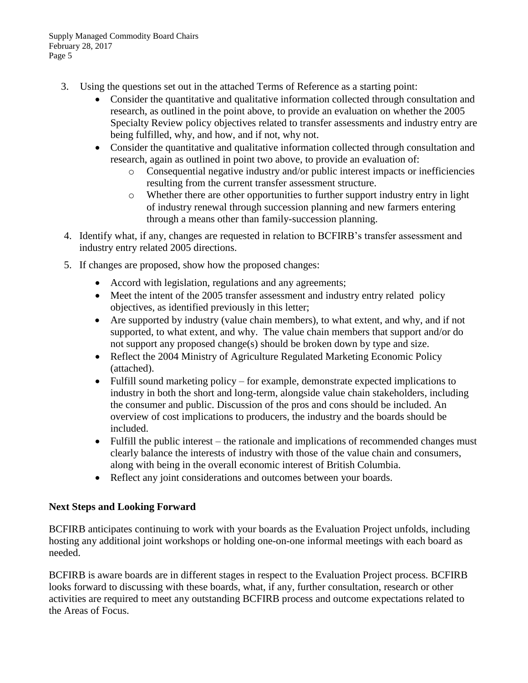Supply Managed Commodity Board Chairs February 28, 2017 Page 5

- 3. Using the questions set out in the attached Terms of Reference as a starting point:
	- Consider the quantitative and qualitative information collected through consultation and research, as outlined in the point above, to provide an evaluation on whether the 2005 Specialty Review policy objectives related to transfer assessments and industry entry are being fulfilled, why, and how, and if not, why not.
	- Consider the quantitative and qualitative information collected through consultation and research, again as outlined in point two above, to provide an evaluation of:
		- o Consequential negative industry and/or public interest impacts or inefficiencies resulting from the current transfer assessment structure.
		- o Whether there are other opportunities to further support industry entry in light of industry renewal through succession planning and new farmers entering through a means other than family-succession planning.
- 4. Identify what, if any, changes are requested in relation to BCFIRB's transfer assessment and industry entry related 2005 directions.
- 5. If changes are proposed, show how the proposed changes:
	- Accord with legislation, regulations and any agreements;
	- Meet the intent of the 2005 transfer assessment and industry entry related policy objectives, as identified previously in this letter;
	- Are supported by industry (value chain members), to what extent, and why, and if not supported, to what extent, and why. The value chain members that support and/or do not support any proposed change(s) should be broken down by type and size.
	- Reflect the 2004 Ministry of Agriculture Regulated Marketing Economic Policy (attached).
	- Fulfill sound marketing policy for example, demonstrate expected implications to industry in both the short and long-term, alongside value chain stakeholders, including the consumer and public. Discussion of the pros and cons should be included. An overview of cost implications to producers, the industry and the boards should be included.
	- Fulfill the public interest the rationale and implications of recommended changes must clearly balance the interests of industry with those of the value chain and consumers, along with being in the overall economic interest of British Columbia.
	- Reflect any joint considerations and outcomes between your boards.

## **Next Steps and Looking Forward**

BCFIRB anticipates continuing to work with your boards as the Evaluation Project unfolds, including hosting any additional joint workshops or holding one-on-one informal meetings with each board as needed.

BCFIRB is aware boards are in different stages in respect to the Evaluation Project process. BCFIRB looks forward to discussing with these boards, what, if any, further consultation, research or other activities are required to meet any outstanding BCFIRB process and outcome expectations related to the Areas of Focus.